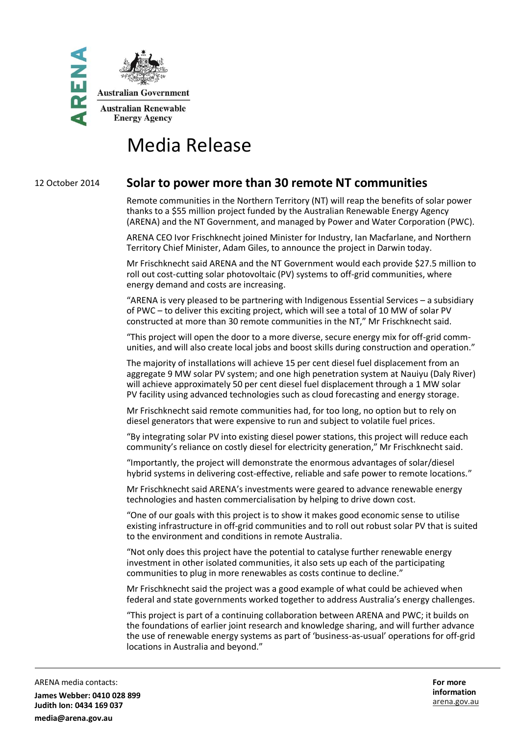

# Media Release

# 12 October 2014 **Solar to power more than 30 remote NT communities**

Remote communities in the Northern Territory (NT) will reap the benefits of solar power thanks to a \$55 million project funded by the Australian Renewable Energy Agency (ARENA) and the NT Government, and managed by Power and Water Corporation (PWC).

ARENA CEO Ivor Frischknecht joined Minister for Industry, Ian Macfarlane, and Northern Territory Chief Minister, Adam Giles, to announce the project in Darwin today.

Mr Frischknecht said ARENA and the NT Government would each provide \$27.5 million to roll out cost-cutting solar photovoltaic (PV) systems to off-grid communities, where energy demand and costs are increasing.

"ARENA is very pleased to be partnering with Indigenous Essential Services – a subsidiary of PWC – to deliver this exciting project, which will see a total of 10 MW of solar PV constructed at more than 30 remote communities in the NT," Mr Frischknecht said.

"This project will open the door to a more diverse, secure energy mix for off-grid communities, and will also create local jobs and boost skills during construction and operation."

The majority of installations will achieve 15 per cent diesel fuel displacement from an aggregate 9 MW solar PV system; and one high penetration system at Nauiyu (Daly River) will achieve approximately 50 per cent diesel fuel displacement through a 1 MW solar PV facility using advanced technologies such as cloud forecasting and energy storage.

Mr Frischknecht said remote communities had, for too long, no option but to rely on diesel generators that were expensive to run and subject to volatile fuel prices.

"By integrating solar PV into existing diesel power stations, this project will reduce each community's reliance on costly diesel for electricity generation," Mr Frischknecht said.

"Importantly, the project will demonstrate the enormous advantages of solar/diesel hybrid systems in delivering cost-effective, reliable and safe power to remote locations."

Mr Frischknecht said ARENA's investments were geared to advance renewable energy technologies and hasten commercialisation by helping to drive down cost.

"One of our goals with this project is to show it makes good economic sense to utilise existing infrastructure in off-grid communities and to roll out robust solar PV that is suited to the environment and conditions in remote Australia.

"Not only does this project have the potential to catalyse further renewable energy investment in other isolated communities, it also sets up each of the participating communities to plug in more renewables as costs continue to decline."

Mr Frischknecht said the project was a good example of what could be achieved when federal and state governments worked together to address Australia's energy challenges.

"This project is part of a continuing collaboration between ARENA and PWC; it builds on the foundations of earlier joint research and knowledge sharing, and will further advance the use of renewable energy systems as part of 'business-as-usual' operations for off-grid locations in Australia and beyond."